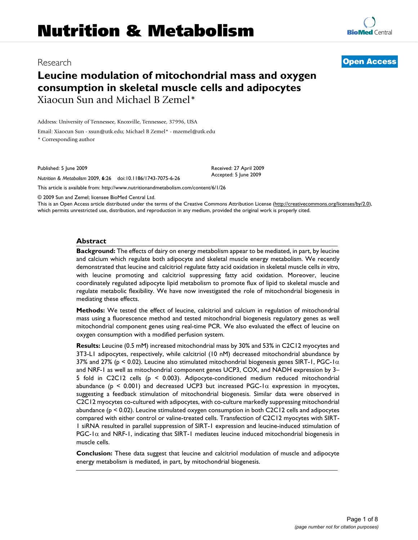# **Leucine modulation of mitochondrial mass and oxygen consumption in skeletal muscle cells and adipocytes** Xiaocun Sun and Michael B Zemel\*

Address: University of Tennessee, Knoxville, Tennessee, 37996, USA

Email: Xiaocun Sun - xsun@utk.edu; Michael B Zemel\* - mzemel@utk.edu

\* Corresponding author

Published: 5 June 2009

*Nutrition & Metabolism* 2009, **6**:26 doi:10.1186/1743-7075-6-26

Received: 27 April 2009 Accepted: 5 June 2009

[This article is available from: http://www.nutritionandmetabolism.com/content/6/1/26](http://www.nutritionandmetabolism.com/content/6/1/26)

© 2009 Sun and Zemel; licensee BioMed Central Ltd.

This is an Open Access article distributed under the terms of the Creative Commons Attribution License [\(http://creativecommons.org/licenses/by/2.0\)](http://creativecommons.org/licenses/by/2.0), which permits unrestricted use, distribution, and reproduction in any medium, provided the original work is properly cited.

#### **Abstract**

**Background:** The effects of dairy on energy metabolism appear to be mediated, in part, by leucine and calcium which regulate both adipocyte and skeletal muscle energy metabolism. We recently demonstrated that leucine and calcitriol regulate fatty acid oxidation in skeletal muscle cells *in vitro*, with leucine promoting and calcitriol suppressing fatty acid oxidation. Moreover, leucine coordinately regulated adipocyte lipid metabolism to promote flux of lipid to skeletal muscle and regulate metabolic flexibility. We have now investigated the role of mitochondrial biogenesis in mediating these effects.

**Methods:** We tested the effect of leucine, calcitriol and calcium in regulation of mitochondrial mass using a fluorescence method and tested mitochondrial biogenesis regulatory genes as well mitochondrial component genes using real-time PCR. We also evaluated the effect of leucine on oxygen consumption with a modified perfusion system.

**Results:** Leucine (0.5 mM) increased mitochondrial mass by 30% and 53% in C2C12 myocytes and 3T3-L1 adipocytes, respectively, while calcitriol (10 nM) decreased mitochondrial abundance by 37% and 27% (p < 0.02). Leucine also stimulated mitochondrial biogenesis genes SIRT-1, PGC-1 $\alpha$ and NRF-1 as well as mitochondrial component genes UCP3, COX, and NADH expression by 3– 5 fold in C2C12 cells (p < 0.003). Adipocyte-conditioned medium reduced mitochondrial abundance ( $p \le 0.001$ ) and decreased UCP3 but increased PGC- $1\alpha$  expression in myocytes, suggesting a feedback stimulation of mitochondrial biogenesis. Similar data were observed in C2C12 myocytes co-cultured with adipocytes, with co-culture markedly suppressing mitochondrial abundance (p < 0.02). Leucine stimulated oxygen consumption in both C2C12 cells and adipocytes compared with either control or valine-treated cells. Transfection of C2C12 myocytes with SIRT-1 siRNA resulted in parallel suppression of SIRT-1 expression and leucine-induced stimulation of PGC-1 $\alpha$  and NRF-1, indicating that SIRT-1 mediates leucine induced mitochondrial biogenesis in muscle cells.

**Conclusion:** These data suggest that leucine and calcitriol modulation of muscle and adipocyte energy metabolism is mediated, in part, by mitochondrial biogenesis.

# Research **[Open Access](http://www.biomedcentral.com/info/about/charter/)**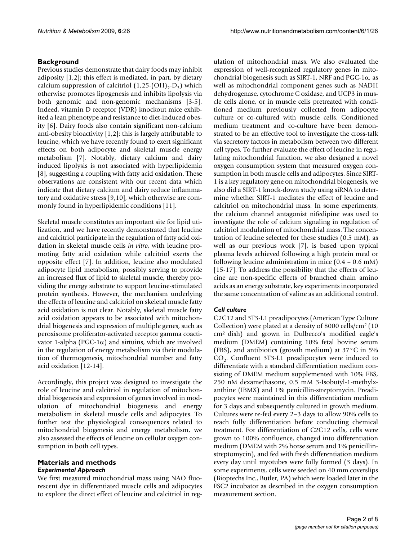# **Background**

Previous studies demonstrate that dairy foods may inhibit adiposity [\[1,](#page-6-0)[2\]](#page-6-1); this effect is mediated, in part, by dietary calcium suppression of calcitriol  $(1,25-(OH),D_3)$  which otherwise promotes lipogenesis and inhibits lipolysis via both genomic and non-genomic mechanisms [\[3-](#page-6-2)[5](#page-6-3)]. Indeed, vitamin D receptor (VDR) knockout mice exhibited a lean phenotype and resistance to diet-induced obesity [\[6\]](#page-6-4). Dairy foods also contain significant non-calcium anti-obesity bioactivity [\[1,](#page-6-0)[2](#page-6-1)]; this is largely attributable to leucine, which we have recently found to exert significant effects on both adipocyte and skeletal muscle energy metabolism [[7\]](#page-6-5). Notably, dietary calcium and dairy induced lipolysis is not associated with hyperlipidemia [[8\]](#page-6-6), suggesting a coupling with fatty acid oxidation. These observations are consistent with our recent data which indicate that dietary calcium and dairy reduce inflammatory and oxidative stress [\[9](#page-6-7)[,10](#page-6-8)], which otherwise are commonly found in hyperlipidemic conditions [\[11\]](#page-6-9).

Skeletal muscle constitutes an important site for lipid utilization, and we have recently demonstrated that leucine and calcitriol participate in the regulation of fatty acid oxidation in skeletal muscle cells *in vitro*, with leucine promoting fatty acid oxidation while calcitriol exerts the opposite effect [\[7](#page-6-5)]. In addition, leucine also modulated adipocyte lipid metabolism, possibly serving to provide an increased flux of lipid to skeletal muscle, thereby providing the energy substrate to support leucine-stimulated protein synthesis. However, the mechanism underlying the effects of leucine and calcitriol on skeletal muscle fatty acid oxidation is not clear. Notably, skeletal muscle fatty acid oxidation appears to be associated with mitochondrial biogenesis and expression of multiple genes, such as peroxisome proliferator-activated receptor gamma coactivator 1-alpha (PGC-1 $\alpha$ ) and sirtuins, which are involved in the regulation of energy metabolism via their modulation of thermogenesis, mitochondrial number and fatty acid oxidation [\[12](#page-6-10)[-14](#page-6-11)].

Accordingly, this project was designed to investigate the role of leucine and calcitriol in regulation of mitochondrial biogenesis and expression of genes involved in modulation of mitochondrial biogenesis and energy metabolism in skeletal muscle cells and adipocytes. To further test the physiological consequences related to mitochondrial biogenesis and energy metabolism, we also assessed the effects of leucine on cellular oxygen consumption in both cell types.

#### **Materials and methods** *Experimental Approach*

We first measured mitochondrial mass using NAO fluorescent dye in differentiated muscle cells and adipocytes to explore the direct effect of leucine and calcitriol in regulation of mitochondrial mass. We also evaluated the expression of well-recognized regulatory genes in mitochondrial biogenesis such as SIRT-1, NRF and PGC-1 $\alpha$ , as well as mitochondrial component genes such as NADH dehydrogenase, cytochrome C oxidase, and UCP3 in muscle cells alone, or in muscle cells pretreated with conditioned medium previously collected from adipocyte culture or co-cultured with muscle cells. Conditioned medium treatment and co-culture have been demonstrated to be an effective tool to investigate the cross-talk via secretory factors in metabolism between two different cell types. To further evaluate the effect of leucine in regulating mitochondrial function, we also designed a novel oxygen consumption system that measured oxygen consumption in both muscle cells and adipocytes. Since SIRT-1 is a key regulatory gene on mitochondrial biogenesis, we also did a SIRT-1 knock-down study using siRNA to determine whether SIRT-1 mediates the effect of leucine and calcitriol on mitochondrial mass. In some experiments, the calcium channel antagonist nifedipine was used to investigate the role of calcium signaling in regulation of calcitriol modulation of mitochondrial mass. The concentration of leucine selected for these studies (0.5 mM), as well as our previous work [[7\]](#page-6-5), is based upon typical plasma levels achieved following a high protein meal or following leucine administration in mice (0.4 – 0.6 mM) [[15](#page-6-12)[-17](#page-6-13)]. To address the possibility that the effects of leucine are non-specific effects of branched chain amino acids as an energy substrate, key experiments incorporated the same concentration of valine as an additional control.

# *Cell culture*

C2C12 and 3T3-L1 preadipocytes (American Type Culture Collection) were plated at a density of 8000 cells/cm2 (10 cm2 dish) and grown in Dulbecco's modified eagle's medium (DMEM) containing 10% fetal bovine serum (FBS), and antibiotics (growth medium) at 37°C in 5%  $CO<sub>2</sub>$ . Confluent 3T3-L1 preadipocytes were induced to differentiate with a standard differentiation medium consisting of DMEM medium supplemented with 10% FBS, 250 nM dexamethasone, 0.5 mM 3-Isobutyl-1-methylxanthine (IBMX) and 1% penicillin-streptomycin. Preadipocytes were maintained in this differentiation medium for 3 days and subsequently cultured in growth medium. Cultures were re-fed every 2–3 days to allow 90% cells to reach fully differentiation before conducting chemical treatment. For differentiation of C2C12 cells, cells were grown to 100% confluence, changed into differentiation medium (DMEM with 2% horse serum and 1% penicillinstreptomycin), and fed with fresh differentiation medium every day until myotubes were fully formed (3 days). In some experiments, cells were seeded on 40 mm coverslips (Bioptechs Inc., Butler, PA) which were loaded later in the FSC2 incubator as described in the oxygen consumption measurement section.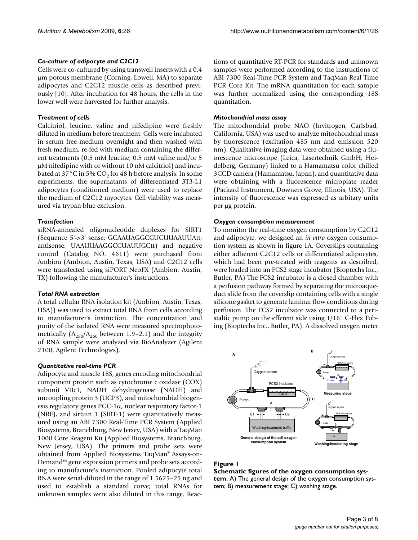#### *Co-culture of adipocyte and C2C12*

Cells were co-cultured by using transwell inserts with a 0.4 μm porous membrane (Corning, Lowell, MA) to separate adipocytes and C2C12 muscle cells as described previously [[10\]](#page-6-8). After incubation for 48 hours, the cells in the lower well were harvested for further analysis.

#### *Treatment of cells*

Calcitriol, leucine, valine and nifedipine were freshly diluted in medium before treatment. Cells were incubated in serum free medium overnight and then washed with fresh medium, re-fed with medium containing the different treatments (0.5 mM leucine, 0.5 mM valine and/or 5 μM nifedipine with or without 10 nM calcitriol) and incubated at 37 $\degree$ C in 5% CO<sub>2</sub> for 48 h before analysis. In some experiments, the supernatants of differentiated 3T3-L1 adipocytes (conditioned medium) were used to replace the medium of C2C12 myocytes. Cell viability was measured via trypan blue exclusion.

# *Transfection*

siRNA-annealed oligonucleotide duplexes for SIRT1 (Sequence 5'->3' sense: GCAAUAGGCCUCUUAAUUAtt; antisense: UAAUUAAGGCCUAUUGCtt) and negative control (Catalog NO. 4611) were purchased from Ambion (Ambion, Austin, Texas, USA) and C2C12 cells were transfected using siPORT NeoFX (Ambion, Austin, TX) following the manufacturer's instructions.

# *Total RNA extraction*

A total cellular RNA isolation kit (Ambion, Austin, Texas, USA)) was used to extract total RNA from cells according to manufacturer's instruction. The concentration and purity of the isolated RNA were measured spectrophotometrically  $(A_{280}/A_{260})$  between 1.9–2.1) and the integrity of RNA sample were analyzed via BioAnalyzer (Agilent 2100, Agilent Technologies).

# *Quantitative real-time PCR*

Adipocyte and muscle 18S, genes encoding mitochondrial component protein such as cytochrome c oxidase (COX) subunit VIIc1, NADH dehydrogenase (NADH) and uncoupling protein 3 (UCP3), and mitochondrial biogenesis regulatory genes PGC-1α, nuclear respiratory factor-1 (NRF), and sirtuin 1 (SIRT-1) were quantitatively measured using an ABI 7300 Real-Time PCR System (Applied Biosystems, Branchburg, New Jersey, USA) with a TaqMan 1000 Core Reagent Kit (Applied Biosystems, Branchburg, New Jersey, USA). The primers and probe sets were obtained from Applied Biosystems TaqMan® Assays-on-Demand™ gene expression primers and probe sets according to manufacture's instruction. Pooled adipocyte total RNA were serial-diluted in the range of 1.5625–25 ng and used to establish a standard curve; total RNAs for unknown samples were also diluted in this range. Reactions of quantitative RT-PCR for standards and unknown samples were performed according to the instructions of ABI 7300 Real-Time PCR System and TaqMan Real Time PCR Core Kit. The mRNA quantitation for each sample was further normalized using the corresponding 18S quantitation.

#### *Mitochondrial mass assay*

The mitochondrial probe NAO (Invitrogen, Carlsbad, California, USA) was used to analyze mitochondrial mass by fluorescence (excitation 485 nm and emission 520 nm). Qualitative imaging data were obtained using a fluorescence microscope (Leica, Lasertechnik GmbH, Heidelberg, Germany) linked to a Hamamatsu color chilled 3CCD camera (Hamamatsu, Japan), and quantitative data were obtaining with a fluorescence microplate reader (Packard Instrument, Downers Grove, Illinois, USA). The intensity of fluorescence was expressed as arbitary units per μg protein.

#### *Oxygen consumption measurement*

To monitor the real-time oxygen consumption by C2C12 and adipocyte, we designed an *in vitro* oxygen consumption system as shown in figure [1A](#page-2-0). Coverslips containing either adherent C2C12 cells or differentiated adipocytes, which had been pre-treated with reagents as described, were loaded into an FCS2 stage incubator (Bioptechs Inc., Butler, PA) The FCS2 incubator is a closed chamber with a perfusion pathway formed by separating the microaqueduct slide from the coverslip containing cells with a single silicone gasket to generate laminar flow conditions during perfusion. The FCS2 incubator was connected to a peristaltic pump on the efferent side using 1/16" C-Flex Tubing (Bioptechs Inc., Butler, PA). A dissolved oxygen meter

<span id="page-2-0"></span>

#### **Figure 1**

**Schematic figures of the oxygen consumption system**. A) The general design of the oxygen consumption system; B) measurement stage; C) washing stage.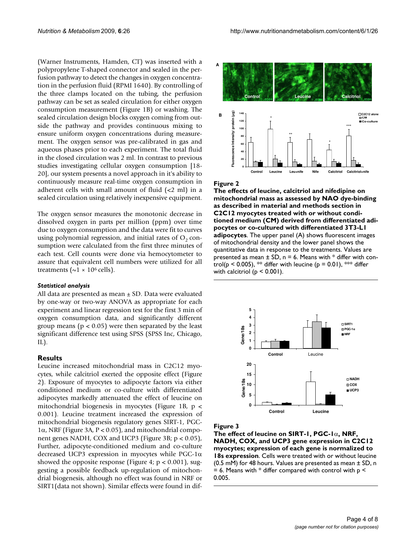(Warner Instruments, Hamden, CT) was inserted with a polypropylene T-shaped connector and sealed in the perfusion pathway to detect the changes in oxygen concentration in the perfusion fluid (RPMI 1640). By controlling of the three clamps located on the tubing, the perfusion pathway can be set as sealed circulation for either oxygen consumption measurement (Figure [1](#page-2-0)B) or washing. The sealed circulation design blocks oxygen coming from outside the pathway and provides continuous mixing to ensure uniform oxygen concentrations during measurement. The oxygen sensor was pre-calibrated in gas and aqueous phases prior to each experiment. The total fluid in the closed circulation was 2 ml. In contrast to previous studies investigating cellular oxygen consumption [\[18](#page-6-14)- [20\]](#page-7-0), our system presents a novel approach in it's ability to continuously measure real-time oxygen consumption in adherent cells with small amount of fluid  $\left($ <2 ml) in a sealed circulation using relatively inexpensive equipment.

The oxygen sensor measures the monotonic decrease in dissolved oxygen in parts per million (ppm) over time due to oxygen consumption and the data were fit to curves using polynomial regression, and initial rates of  $O<sub>2</sub>$  consumption were calculated from the first three minutes of each test. Cell counts were done via hemocytometer to assure that equivalent cell numbers were utilized for all treatments ( $\sim$ 1 × 10<sup>6</sup> cells).

#### *Statistical analysis*

All data are presented as mean  $\pm$  SD. Data were evaluated by one-way or two-way ANOVA as appropriate for each experiment and linear regression test for the first 3 min of oxygen consumption data, and significantly different group means ( $p < 0.05$ ) were then separated by the least significant difference test using SPSS (SPSS Inc, Chicago, IL).

#### **Results**

Leucine increased mitochondrial mass in C2C12 myocytes, while calcitriol exerted the opposite effect (Figure [2\)](#page-3-0). Exposure of myocytes to adipocyte factors via either conditioned medium or co-culture with differentiated adipocytes markedly attenuated the effect of leucine on mitochondrial biogenesis in myocytes (Figure [1](#page-2-0)B,  $p \lt \theta$ 0.001). Leucine treatment increased the expression of mitochondrial biogenesis regulatory genes SIRT-1, PGC- $1\alpha$ , NRF (Figure [3](#page-3-1)A, P < 0.05), and mitochondrial component genes NADH, COX and UCP3 (Figure [3B](#page-3-1); p < 0.05), Further, adipocyte-conditioned medium and co-culture decreased UCP3 expression in myocytes while PGC-1α showed the opposite response (Figure [4;](#page-4-0)  $p < 0.001$ ), suggesting a possible feedback up-regulation of mitochondrial biogenesis, although no effect was found in NRF or SIRT1(data not shown). Similar effects were found in dif-

<span id="page-3-0"></span>

#### Figure 2

**The effects of leucine, calcitriol and nifedipine on mitochondrial mass as assessed by NAO dye-binding as described in material and methods section in C2C12 myocytes treated with or without conditioned medium (CM) derived from differentiated adipocytes or co-cultured with differentiated 3T3-L1 adipocytes**. The upper panel (A) shows fluorescent images of mitochondrial density and the lower panel shows the quantitative data in response to the treatments. Values are presented as mean  $\pm$  SD, n = 6. Means with  $*$  differ with control( $p \le 0.005$ ), \*\* differ with leucine ( $p = 0.01$ ), \*\*\* differ B<br>  $\begin{bmatrix}\n\frac{3}{2} & \frac{1}{10} & \frac{1}{10} \\
\frac{3}{2} & \frac{1}{10} & \frac{1}{10} \\
\frac{3}{2} & \frac{1}{10} & \frac{1}{10} \\
\frac{3}{2} & \frac{1}{10} & \frac{1}{10} \\
\frac{3}{2} & \frac{1}{10} & \frac{1}{10} \\
\frac{3}{2} & \frac{1}{10} & \frac{1}{10} \\
\frac{3}{2} & \frac{1}{10} & \frac{1}{10} \\
\frac{3}{2} & \frac{1}{10} & \frac{1}{10} \\
\frac$ 

<span id="page-3-1"></span>

#### Figure 3

**The effect of leucine on SIRT-1, PGC-1**α**, NRF, NADH, COX, and UCP3 gene expression in C2C12 myocytes; expression of each gene is normalized to 18s expression**. Cells were treated with or without leucine (0.5 mM) for 48 hours. Values are presented as mean  $\pm$  SD, n  $= 6$ . Means with  $*$  differ compared with control with p  $\le$ 0.005.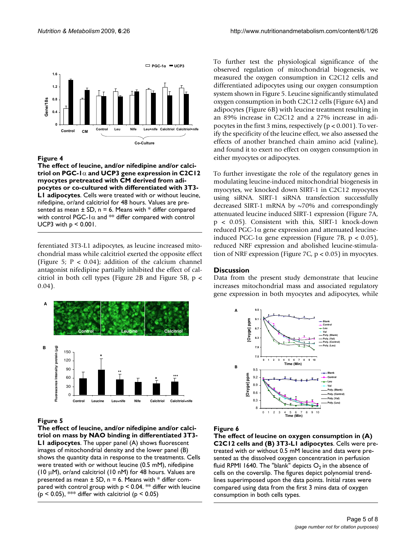<span id="page-4-0"></span>

# Figure 4

**The effect of leucine, and/or nifedipine and/or calcitriol on PGC-1**α **and UCP3 gene expression in C2C12 myocytes pretreated with CM derived from adipocytes or co-cultured with differentiated with 3T3- L1 adipocytes**. Cells were treated with or without leucine, nifedipine, or/and calcitriol for 48 hours. Values are presented as mean  $\pm$  SD, n = 6. Means with  $*$  differ compared with control PGC-1 $\alpha$  and \*\* differ compared with control UCP3 with  $p < 0.001$ .

ferentiated 3T3-L1 adipocytes, as leucine increased mitochondrial mass while calcitriol exerted the opposite effect (Figure [5](#page-4-1);  $P < 0.04$ ); addition of the calcium channel antagonist nifedipine partially inhibited the effect of calcitriol in both cell types (Figure [2B](#page-3-0) and Figure [5B](#page-4-1), p < 0.04).

<span id="page-4-1"></span>

# Figure 5

**The effect of leucine, and/or nifedipine and/or calcitriol on mass by NAO binding in differentiated 3T3- L1 adipocytes**. The upper panel (A) shows fluorescent images of mitochondrial density and the lower panel (B) shows the quantity data in response to the treatments. Cells were treated with or without leucine (0.5 mM), nifedipine (10  $\mu$ M), or/and calcitriol (10 nM) for 48 hours. Values are presented as mean  $\pm$  SD, n = 6. Means with  $*$  differ compared with control group with  $p < 0.04$ . \*\* differ with leucine (e)  $\frac{2}{3}$ <br>  $\frac{2}{3}$ <br>  $\frac{2}{3}$ <br>  $\frac{2}{3}$ <br>  $\frac{2}{3}$ <br>  $\frac{2}{3}$ <br>  $\frac{2}{3}$ <br>  $\frac{2}{3}$ <br>  $\frac{2}{3}$ <br>  $\frac{2}{3}$ <br>  $\frac{2}{3}$ <br>  $\frac{2}{3}$ <br>  $\frac{2}{3}$ <br>  $\frac{2}{3}$ <br>  $\frac{2}{3}$ <br>  $\frac{2}{3}$ <br>  $\frac{2}{3}$ <br>  $\frac{2}{3}$ <br>  $\frac{2}{3}$ <br>  $\frac{2}{3$ 

To further test the physiological significance of the observed regulation of mitochondrial biogenesis, we measured the oxygen consumption in C2C12 cells and differentiated adipocytes using our oxygen consumption system shown in Figure [5](#page-4-1). Leucine significantly stimulated oxygen consumption in both C2C12 cells (Figure [6A](#page-4-2)) and adipocytes (Figure [6B](#page-4-2)) with leucine treatment resulting in an 89% increase in C2C12 and a 27% increase in adipocytes in the first 3 mins, respectively ( $p < 0.001$ ). To verify the specificity of the leucine effect, we also assessed the effects of another branched chain amino acid (valine), and found it to exert no effect on oxygen consumption in either myocytes or adipocytes.

To further investigate the role of the regulatory genes in modulating leucine-induced mitochondrial biogenesis in myocytes, we knocked down SIRT-1 in C2C12 myocytes using siRNA. SIRT-1 siRNA transfection successfully decreased SIRT-1 mRNA by ~70% and correspondingly attenuated leucine induced SIRT-1 expression (Figure [7](#page-5-0)A, p < 0.05). Consistent with this, SIRT-1 knock-down reduced PGC-1α gene expression and attenuated leucineinduced PGC-1α gene expression (Figure [7B](#page-5-0), p < 0.05), reduced NRF expression and abolished leucine-stimulation of NRF expression (Figure [7C](#page-5-0), p < 0.05) in myocytes.

# **Discussion**

Data from the present study demonstrate that leucine increases mitochondrial mass and associated regulatory gene expression in both myocytes and adipocytes, while

<span id="page-4-2"></span>

# Figure 6

**The effect of leucine on oxygen consumption in (A) C2C12 cells and (B) 3T3-L1 adipocytes**. Cells were pretreated with or without 0.5 mM leucine and data were presented as the dissolved oxygen concentration in perfusion fluid RPMI 1640. The "blank" depicts  $O<sub>2</sub>$  in the absence of cells on the coverslip. The figures depict polynomial trendlines superimposed upon the data points. Initial rates were compared using data from the first 3 mins data of oxygen consumption in both cells types.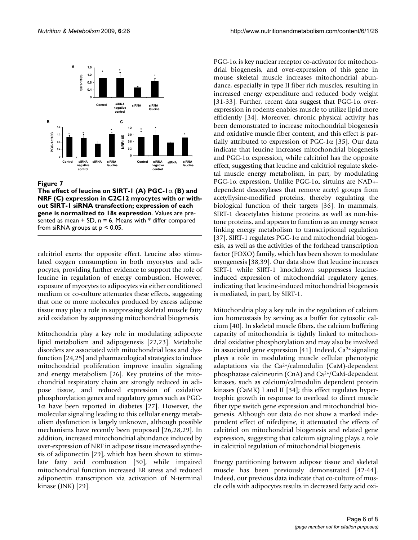<span id="page-5-0"></span>

#### Figure 7

**The effect of leucine on SIRT-1 (A) PGC-1**α **(B) and NRF (C) expression in C2C12 myocytes with or without SIRT-1 siRNA transfection; expression of each gene is normalized to 18s expression**. Values are presented as mean  $+$  SD, n = 6. Means with  $*$  differ compared from siRNA groups at  $p < 0.05$ .

calcitriol exerts the opposite effect. Leucine also stimulated oxygen consumption in both myocytes and adipocytes, providing further evidence to support the role of leucine in regulation of energy combustion. However, exposure of myocytes to adipocytes via either conditioned medium or co-culture attenuates these effects, suggesting that one or more molecules produced by excess adipose tissue may play a role in suppressing skeletal muscle fatty acid oxidation by suppressing mitochondrial biogenesis.

Mitochondria play a key role in modulating adipocyte lipid metabolism and adipogenesis [[22](#page-7-1)[,23](#page-7-2)]. Metabolic disorders are associated with mitochondrial loss and dysfunction [\[24](#page-7-3),[25\]](#page-7-4) and pharmacological strategies to induce mitochondrial proliferation improve insulin signaling and energy metabolism [\[26](#page-7-5)]. Key proteins of the mitochondrial respiratory chain are strongly reduced in adipose tissue, and reduced expression of oxidative phosphorylation genes and regulatory genes such as PGC-1α have been reported in diabetes [[27](#page-7-6)]. However, the molecular signaling leading to this cellular energy metabolism dysfunction is largely unknown, although possible mechanisms have recently been proposed [\[26](#page-7-5),[28](#page-7-7),[29\]](#page-7-8). In addition, increased mitochondrial abundance induced by over-expression of NRF in adipose tissue increased synthesis of adiponectin [\[29\]](#page-7-8), which has been shown to stimulate fatty acid combustion [[30](#page-7-9)], while impaired mitochondrial function increased ER stress and reduced adiponectin transcription via activation of N-terminal kinase (JNK) [\[29\]](#page-7-8).

PGC-1 $\alpha$  is key nuclear receptor co-activator for mitochondrial biogenesis, and over-expression of this gene in mouse skeletal muscle increases mitochondrial abundance, especially in type II fiber rich muscles, resulting in increased energy expenditure and reduced body weight [[31](#page-7-10)[-33](#page-7-11)]. Further, recent data suggest that PGC-1α overexpression in rodents enables muscle to utilize lipid more efficiently [\[34](#page-7-12)]. Moreover, chronic physical activity has been demonstrated to increase mitochondrial biogenesis and oxidative muscle fiber content, and this effect is partially attributed to expression of PGC-1 $\alpha$  [\[35](#page-7-13)]. Our data indicate that leucine increases mitochondrial biogenesis and PGC-1 $\alpha$  expression, while calcitriol has the opposite effect, suggesting that leucine and calcitriol regulate skeletal muscle energy metabolism, in part, by modulating PGC-1α expression. Unlike PGC-1α, sirtuins are NAD+ dependent deacetylases that remove acetyl groups from acetyllysine-modified proteins, thereby regulating the biological function of their targets [[36\]](#page-7-14). In mammals, SIRT-1 deacetylates histone proteins as well as non-histone proteins, and appears to function as an energy sensor linking energy metabolism to transcriptional regulation [[37](#page-7-15)]. SIRT-1 regulates PGC-1 $\alpha$  and mitochondrial biogenesis, as well as the activities of the forkhead transcription factor (FOXO) family, which has been shown to modulate myogenesis [[38,](#page-7-16)[39\]](#page-7-17). Our data show that leucine increases SIRT-1 while SIRT-1 knockdown suppressess leucineinduced expression of mitochondrial regulatory genes, indicating that leucine-induced mitochondrial biogenesis is mediated, in part, by SIRT-1.

Mitochondria play a key role in the regulation of calcium ion homeostasis by serving as a buffer for cytosolic calcium [\[40\]](#page-7-18). In skeletal muscle fibers, the calcium buffering capacity of mitochondria is tightly linked to mitochondrial oxidative phosphorylation and may also be involved in associated gene expression [[41\]](#page-7-19). Indeed, Ca2+ signaling plays a role in modulating muscle cellular phenotypic adaptations via the  $Ca^{2+}/c$ almodulin (CaM)-dependent phosphatase calcineurin (CnA) and Ca2+/CaM-dependent kinases, such as calcium/calmodulin dependent protein kinases (CaMK) I and II [[34](#page-7-12)]; this effect regulates hypertrophic growth in response to overload to direct muscle fiber type switch gene expression and mitochondrial biogenesis. Although our data do not show a marked independent effect of nifedipine, it attenuated the effects of calcitriol on mitochondrial biogenesis and related gene expression, suggesting that calcium signaling plays a role in calcitriol regulation of mitochondrial biogenesis.

Energy partitioning between adipose tissue and skeletal muscle has been previously demonstrated [\[42](#page-7-20)[-44](#page-7-21)]. Indeed, our previous data indicate that co-culture of muscle cells with adipocytes results in decreased fatty acid oxi-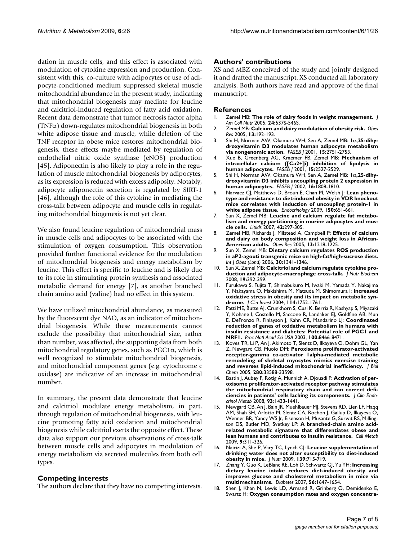dation in muscle cells, and this effect is associated with modulation of cytokine expression and production. Consistent with this, co-culture with adipocytes or use of adipocyte-conditioned medium suppressed skeletal muscle mitochondrial abundance in the present study, indicating that mitochondrial biogenesis may mediate for leucine and calcitriol-induced regulation of fatty acid oxidation. Recent data demonstrate that tumor necrosis factor alpha  $(TNF\alpha)$  down-regulates mitochondrial biogenesis in both white adipose tissue and muscle, while deletion of the TNF receptor in obese mice restores mitochondrial biogenesis; these effects maybe mediated by regulation of endothelial nitric oxide synthase (eNOS) production [[45](#page-7-22)]. Adiponectin is also likely to play a role in the regulation of muscle mitochondrial biogenesis by adipocytes, as its expression is reduced with excess adiposity. Notably, adipocyte adiponectin secretion is regulated by SIRT-1 [[46](#page-7-23)], although the role of this cytokine in mediating the cross-talk between adipocyte and muscle cells in regulating mitochondrial biogenesis is not yet clear.

We also found leucine regulation of mitochondrial mass in muscle cells and adipocytes to be associated with the stimulation of oxygen consumption. This observation provided further functional evidence for the modulation of mitochondrial biogenesis and energy metabolism by leucine. This effect is specific to leucine and is likely due to its role in stimulating protein synthesis and associated metabolic demand for energy [[7\]](#page-6-5), as another branched chain amino acid (valine) had no effect in this system.

We have utilized mitochondrial abundance, as measured by the fluorescent dye NAO, as an indicator of mitochondrial biogenesis. While these measurements cannot exclude the possibility that mitochondrial size, rather than number, was affected, the supporting data from both mitochondrial regulatory genes, such as  $PGC1\alpha$ , which is well recognized to stimulate mitochondrial biogenesis, and mitochondrial component genes (e.g. cytochrome c oxidase) are indicative of an increase in mitochondrial number.

In summary, the present data demonstrate that leucine and calcitriol modulate energy metabolism, in part, through regulation of mitochondrial biogenesis, with leucine promoting fatty acid oxidation and mitochondrial biogenesis while calcitriol exerts the opposite effect. These data also support our previous observations of cross-talk between muscle cells and adipocytes in modulation of energy metabolism via secreted molecules from both cell types.

# **Competing interests**

The authors declare that they have no competing interests.

# **Authors' contributions**

XS and MBZ conceived of the study and jointly designed it and drafted the manuscript. XS conducted all laboratory analysis. Both authors have read and approve of the final manuscript.

#### **References**

- <span id="page-6-0"></span>1. Zemel MB: **[The role of dairy foods in weight management.](http://www.ncbi.nlm.nih.gov/entrez/query.fcgi?cmd=Retrieve&db=PubMed&dopt=Abstract&list_uids=16373953)** *J Am Coll Nutr* 2005, **24:**537S-546S.
- <span id="page-6-1"></span>2. Zemel MB: **[Calcium and dairy modulation of obesity risk.](http://www.ncbi.nlm.nih.gov/entrez/query.fcgi?cmd=Retrieve&db=PubMed&dopt=Abstract&list_uids=15761181)** *Obes Res* 2005, **13:**192-193.
- <span id="page-6-2"></span>3. Shi H, Norman AW, Okamura WH, Sen A, Zemel MB: **1**α**[,25-dihy](http://www.ncbi.nlm.nih.gov/entrez/query.fcgi?cmd=Retrieve&db=PubMed&dopt=Abstract&list_uids=11606486)[droxyvitamin D3 modulates human adipocyte metabolism](http://www.ncbi.nlm.nih.gov/entrez/query.fcgi?cmd=Retrieve&db=PubMed&dopt=Abstract&list_uids=11606486) [via nongenomic action.](http://www.ncbi.nlm.nih.gov/entrez/query.fcgi?cmd=Retrieve&db=PubMed&dopt=Abstract&list_uids=11606486)** *FASEB J* 2001, **15:**2751-2753.
- 4. Xue B, Greenberg AG, Kraemer FB, Zemel MB: **[Mechanism of](http://www.ncbi.nlm.nih.gov/entrez/query.fcgi?cmd=Retrieve&db=PubMed&dopt=Abstract&list_uids=11641262) [intracellular calcium \(\[Ca2+\]i\) inhibition of lipolysis in](http://www.ncbi.nlm.nih.gov/entrez/query.fcgi?cmd=Retrieve&db=PubMed&dopt=Abstract&list_uids=11641262) [human adipocytes.](http://www.ncbi.nlm.nih.gov/entrez/query.fcgi?cmd=Retrieve&db=PubMed&dopt=Abstract&list_uids=11641262)** *FASEB J* 2001, **15:**2527-2529.
- <span id="page-6-3"></span>5. Shi H, Norman AW, Okamura WH, Sen A, Zemel MB: **1**α**[,25-dihy](http://www.ncbi.nlm.nih.gov/entrez/query.fcgi?cmd=Retrieve&db=PubMed&dopt=Abstract&list_uids=12223452)[droxyvitamin D3 inhibits uncoupling protein 2 expression in](http://www.ncbi.nlm.nih.gov/entrez/query.fcgi?cmd=Retrieve&db=PubMed&dopt=Abstract&list_uids=12223452) [human adipocytes.](http://www.ncbi.nlm.nih.gov/entrez/query.fcgi?cmd=Retrieve&db=PubMed&dopt=Abstract&list_uids=12223452)** *FASEB J* 2002, **16:**1808-1810.
- <span id="page-6-4"></span>6. Narvaez CJ, Matthews D, Broun E, Chan M, Welsh J: **[Lean pheno](http://www.ncbi.nlm.nih.gov/entrez/query.fcgi?cmd=Retrieve&db=PubMed&dopt=Abstract&list_uids=18845643)[type and resistance to diet-induced obesity in VDR knockout](http://www.ncbi.nlm.nih.gov/entrez/query.fcgi?cmd=Retrieve&db=PubMed&dopt=Abstract&list_uids=18845643) mice correlates with induction of uncoupling protein-1 in [white adipose tissue.](http://www.ncbi.nlm.nih.gov/entrez/query.fcgi?cmd=Retrieve&db=PubMed&dopt=Abstract&list_uids=18845643)** *Endocrinology* 2009, **150:**651-661.
- <span id="page-6-5"></span>7. Sun X, Zemel MB: **[Leucine and calcium regulate fat metabo](http://www.ncbi.nlm.nih.gov/entrez/query.fcgi?cmd=Retrieve&db=PubMed&dopt=Abstract&list_uids=17406924)[lism and energy partitioning in murine adipocytes and mus](http://www.ncbi.nlm.nih.gov/entrez/query.fcgi?cmd=Retrieve&db=PubMed&dopt=Abstract&list_uids=17406924)[cle cells.](http://www.ncbi.nlm.nih.gov/entrez/query.fcgi?cmd=Retrieve&db=PubMed&dopt=Abstract&list_uids=17406924)** *Lipids* 2007, **42:**297-305.
- <span id="page-6-6"></span>8. Zemel MB, Richards J, Milstead A, Campbell P: **[Effects of calcium](http://www.ncbi.nlm.nih.gov/entrez/query.fcgi?cmd=Retrieve&db=PubMed&dopt=Abstract&list_uids=16076991) [and dairy on body composition and weight loss in African-](http://www.ncbi.nlm.nih.gov/entrez/query.fcgi?cmd=Retrieve&db=PubMed&dopt=Abstract&list_uids=16076991)[American adults.](http://www.ncbi.nlm.nih.gov/entrez/query.fcgi?cmd=Retrieve&db=PubMed&dopt=Abstract&list_uids=16076991)** *Obes Res* 2005, **13:**1218-1225.
- <span id="page-6-7"></span>9. Sun X, Zemel MB: **[Dietary calcium regulates ROS production](http://www.ncbi.nlm.nih.gov/entrez/query.fcgi?cmd=Retrieve&db=PubMed&dopt=Abstract&list_uids=16520808) [in aP2-agouti transgenic mice on high-fat/high-sucrose diets.](http://www.ncbi.nlm.nih.gov/entrez/query.fcgi?cmd=Retrieve&db=PubMed&dopt=Abstract&list_uids=16520808)** *Int J Obes (Lond)* 2006, **30:**1341-1346.
- <span id="page-6-8"></span>10. Sun X, Zemel MB: **[Calcitriol and calcium regulate cytokine pro](http://www.ncbi.nlm.nih.gov/entrez/query.fcgi?cmd=Retrieve&db=PubMed&dopt=Abstract&list_uids=17869082)[duction and adipocyte-macrophage cross-talk.](http://www.ncbi.nlm.nih.gov/entrez/query.fcgi?cmd=Retrieve&db=PubMed&dopt=Abstract&list_uids=17869082)** *J Nutr Biochem* 2008, **19:**392-399.
- <span id="page-6-9"></span>11. Furukawa S, Fujita T, Shimabukuro M, Iwaki M, Yamada Y, Nakajima Y, Nakayama O, Makishima M, Matsuda M, Shimomura I: **[Increased](http://www.ncbi.nlm.nih.gov/entrez/query.fcgi?cmd=Retrieve&db=PubMed&dopt=Abstract&list_uids=15599400) [oxidative stress in obesity and its impact on metabolic syn](http://www.ncbi.nlm.nih.gov/entrez/query.fcgi?cmd=Retrieve&db=PubMed&dopt=Abstract&list_uids=15599400)[drome.](http://www.ncbi.nlm.nih.gov/entrez/query.fcgi?cmd=Retrieve&db=PubMed&dopt=Abstract&list_uids=15599400)** *J Clin Invest* 2004, **114:**1752-1761.
- <span id="page-6-10"></span>12. Patti ME, Butte AJ, Crunkhorn S, Cusi K, Berria R, Kashyap S, Miyazaki Y, Kohane I, Costello M, Saccone R, Landaker EJ, Goldfine AB, Mun E, DeFronzo R, Finlayson J, Kahn CR, Mandarino LJ: **[Coordinated](http://www.ncbi.nlm.nih.gov/entrez/query.fcgi?cmd=Retrieve&db=PubMed&dopt=Abstract&list_uids=12832613) [reduction of genes of oxidative metabolism in humans with](http://www.ncbi.nlm.nih.gov/entrez/query.fcgi?cmd=Retrieve&db=PubMed&dopt=Abstract&list_uids=12832613) insulin resistance and diabetes: Potential role of PGC1 and [NRF1.](http://www.ncbi.nlm.nih.gov/entrez/query.fcgi?cmd=Retrieve&db=PubMed&dopt=Abstract&list_uids=12832613)** *Proc Natl Acad Sci USA* 2003, **100:**8466-8471.
- 13. Koves TR, Li P, An J, Akimoto T, Slentz D, Ilkayeva O, Dohm GL, Yan Z, Newgard CB, Muoio DM: **[Peroxisome proliferator-activated](http://www.ncbi.nlm.nih.gov/entrez/query.fcgi?cmd=Retrieve&db=PubMed&dopt=Abstract&list_uids=16079133) [receptor-gamma co-activator 1alpha-mediated metabolic](http://www.ncbi.nlm.nih.gov/entrez/query.fcgi?cmd=Retrieve&db=PubMed&dopt=Abstract&list_uids=16079133) remodeling of skeletal myocytes mimics exercise training [and reverses lipid-induced mitochondrial inefficiency.](http://www.ncbi.nlm.nih.gov/entrez/query.fcgi?cmd=Retrieve&db=PubMed&dopt=Abstract&list_uids=16079133)** *J Biol Chem* 2005, **280:**33588-33598.
- <span id="page-6-11"></span>14. Bastin J, Aubey F, Rötig A, Munnich A, Djouadi F: **[Activation of per](http://www.ncbi.nlm.nih.gov/entrez/query.fcgi?cmd=Retrieve&db=PubMed&dopt=Abstract&list_uids=18211970)[oxisome proliferator-activated receptor pathway stimulates](http://www.ncbi.nlm.nih.gov/entrez/query.fcgi?cmd=Retrieve&db=PubMed&dopt=Abstract&list_uids=18211970) the mitochondrial respiratory chain and can correct defi[ciencies in patients' cells lacking its components.](http://www.ncbi.nlm.nih.gov/entrez/query.fcgi?cmd=Retrieve&db=PubMed&dopt=Abstract&list_uids=18211970)** *J Clin Endocrinol Metab* 2008, **93:**1433-1441.
- <span id="page-6-12"></span>15. Newgard CB, An J, Bain JR, Muehlbauer MJ, Stevens RD, Lien LF, Haqq AM, Shah SH, Arlotto M, Slentz CA, Rochon J, Gallup D, Ilkayeva O, Wenner BR, Yancy WS Jr, Eisenson H, Musante G, Surwit RS, Millington DS, Butler MD, Svetkey LP: **[A branched-chain amino acid](http://www.ncbi.nlm.nih.gov/entrez/query.fcgi?cmd=Retrieve&db=PubMed&dopt=Abstract&list_uids=19356713)[related metabolic signature that differentiates obese and](http://www.ncbi.nlm.nih.gov/entrez/query.fcgi?cmd=Retrieve&db=PubMed&dopt=Abstract&list_uids=19356713) [lean humans and contributes to insulin resistance.](http://www.ncbi.nlm.nih.gov/entrez/query.fcgi?cmd=Retrieve&db=PubMed&dopt=Abstract&list_uids=19356713)** *Cell Metab* 2009, **9:**311-326.
- 16. Nairizi A, She P, Vary TC, Lynch CJ: **[Leucine supplementation of](http://www.ncbi.nlm.nih.gov/entrez/query.fcgi?cmd=Retrieve&db=PubMed&dopt=Abstract&list_uids=19244380) [drinking water does not alter susceptibility to diet-induced](http://www.ncbi.nlm.nih.gov/entrez/query.fcgi?cmd=Retrieve&db=PubMed&dopt=Abstract&list_uids=19244380) [obesity in mice.](http://www.ncbi.nlm.nih.gov/entrez/query.fcgi?cmd=Retrieve&db=PubMed&dopt=Abstract&list_uids=19244380)** *J Nutr* 2009, **139:**715-719.
- <span id="page-6-13"></span>17. Zhang Y, Guo K, LeBlanc RE, Loh D, Schwartz GJ, Yu YH: **[Increasing](http://www.ncbi.nlm.nih.gov/entrez/query.fcgi?cmd=Retrieve&db=PubMed&dopt=Abstract&list_uids=17360978) [dietary leucine intake reduces diet-induced obesity and](http://www.ncbi.nlm.nih.gov/entrez/query.fcgi?cmd=Retrieve&db=PubMed&dopt=Abstract&list_uids=17360978) improves glucose and cholesterol metabolism in mice via [multimechanisms.](http://www.ncbi.nlm.nih.gov/entrez/query.fcgi?cmd=Retrieve&db=PubMed&dopt=Abstract&list_uids=17360978)** *Diabetes* 2007, **56:**1647-1654.
- <span id="page-6-14"></span>Shen J, Khan N, Lewis LD, Armand R, Grinberg O, Demidenko E, Swartz H: **[Oxygen consumption rates and oxygen concentra](http://www.ncbi.nlm.nih.gov/entrez/query.fcgi?cmd=Retrieve&db=PubMed&dopt=Abstract&list_uids=12547809)-**